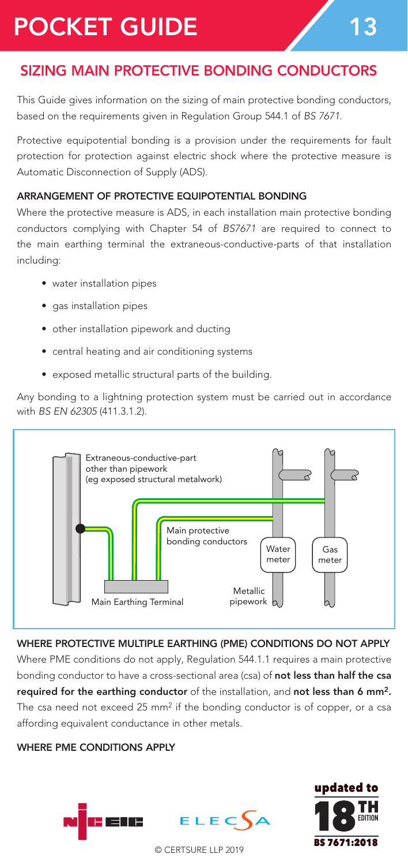# POCKET GUIDE 13

# SIZING MAIN PROTECTIVE BONDING CONDUCTORS

This Guide gives information on the sizing of main protective bonding conductors, based on the requirements given in Regulation Group 544.1 of *BS 7671*.

Protective equipotential bonding is a provision under the requirements for fault protection for protection against electric shock where the protective measure is Automatic Disconnection of Supply (ADS).

#### ARRANGEMENT OF PROTECTIVE EQUIPOTENTIAL BONDING

Where the protective measure is ADS, in each installation main protective bonding conductors complying with Chapter 54 of *BS7671* are required to connect to the main earthing terminal the extraneous-conductive-parts of that installation including:

- water installation pipes
- gas installation pipes
- other installation pipework and ducting
- central heating and air conditioning systems
- exposed metallic structural parts of the building.

Any bonding to a lightning protection system must be carried out in accordance with *BS EN 62305* (411.3.1.2).



#### WHERE PROTECTIVE MULTIPLE EARTHING (PME) CONDITIONS DO NOT APPLY

Where PME conditions do not apply, Regulation 544.1.1 requires a main protective bonding conductor to have a cross-sectional area (csa) of not less than half the csa required for the earthing conductor of the installation, and not less than 6 mm2. The csa need not exceed 25 mm<sup>2</sup> if the bonding conductor is of copper, or a csa affording equivalent conductance in other metals.

#### WHERE PME CONDITIONS APPLY



© CERTSURE LLP 2019